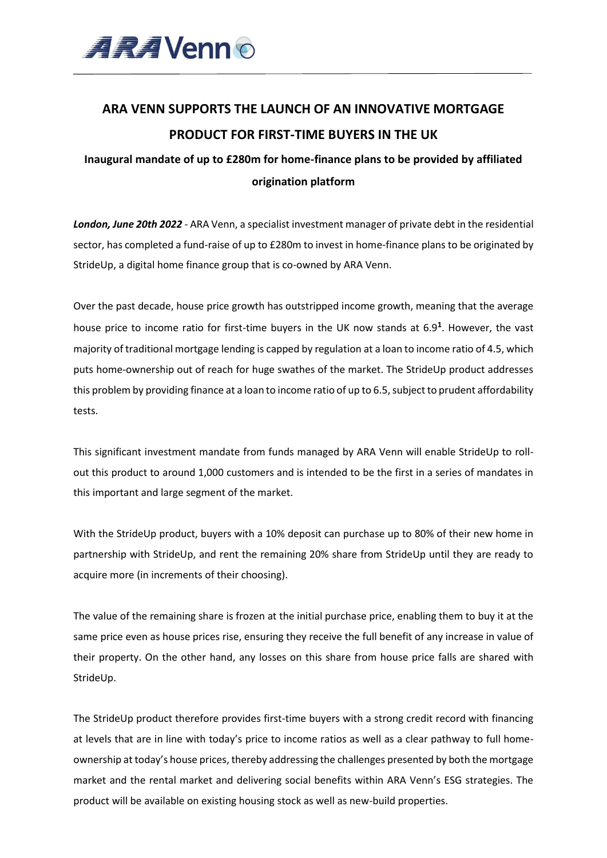

# **ARA VENN SUPPORTS THE LAUNCH OF AN INNOVATIVE MORTGAGE PRODUCT FOR FIRST-TIME BUYERS IN THE UK**

## **Inaugural mandate of up to £280m for home-finance plans to be provided by affiliated origination platform**

*London, June 20th 2022* - ARA Venn, a specialist investment manager of private debt in the residential sector, has completed a fund-raise of up to £280m to invest in home-finance plans to be originated by StrideUp, a digital home finance group that is co-owned by ARA Venn.

Over the past decade, house price growth has outstripped income growth, meaning that the average house price to income ratio for first-time buyers in the UK now stands at 6.9**<sup>1</sup>** . However, the vast majority of traditional mortgage lending is capped by regulation at a loan to income ratio of 4.5, which puts home-ownership out of reach for huge swathes of the market. The StrideUp product addresses this problem by providing finance at a loan to income ratio of up to 6.5, subject to prudent affordability tests.

This significant investment mandate from funds managed by ARA Venn will enable StrideUp to rollout this product to around 1,000 customers and is intended to be the first in a series of mandates in this important and large segment of the market.

With the StrideUp product, buyers with a 10% deposit can purchase up to 80% of their new home in partnership with StrideUp, and rent the remaining 20% share from StrideUp until they are ready to acquire more (in increments of their choosing).

The value of the remaining share is frozen at the initial purchase price, enabling them to buy it at the same price even as house prices rise, ensuring they receive the full benefit of any increase in value of their property. On the other hand, any losses on this share from house price falls are shared with StrideUp.

The StrideUp product therefore provides first-time buyers with a strong credit record with financing at levels that are in line with today's price to income ratios as well as a clear pathway to full homeownership at today's house prices, thereby addressing the challenges presented by both the mortgage market and the rental market and delivering social benefits within ARA Venn's ESG strategies. The product will be available on existing housing stock as well as new-build properties.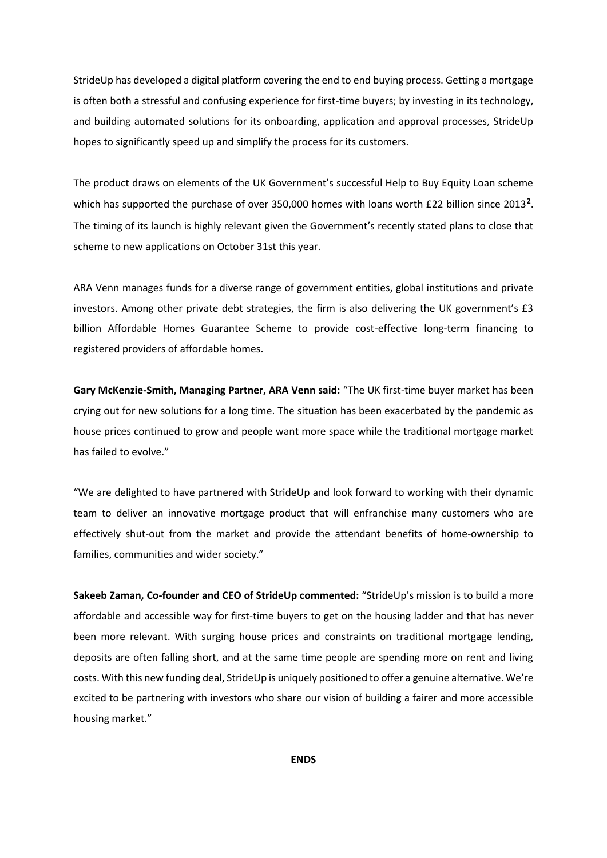StrideUp has developed a digital platform covering the end to end buying process. Getting a mortgage is often both a stressful and confusing experience for first-time buyers; by investing in its technology, and building automated solutions for its onboarding, application and approval processes, StrideUp hopes to significantly speed up and simplify the process for its customers.

The product draws on elements of the UK Government's successful Help to Buy Equity Loan scheme which has supported the purchase of over 350,000 homes with loans worth £22 billion since 2013<sup>2</sup>. The timing of its launch is highly relevant given the Government's recently stated plans to close that scheme to new applications on October 31st this year.

ARA Venn manages funds for a diverse range of government entities, global institutions and private investors. Among other private debt strategies, the firm is also delivering the UK government's £3 billion Affordable Homes Guarantee Scheme to provide cost-effective long-term financing to registered providers of affordable homes.

**Gary McKenzie-Smith, Managing Partner, ARA Venn said:** "The UK first-time buyer market has been crying out for new solutions for a long time. The situation has been exacerbated by the pandemic as house prices continued to grow and people want more space while the traditional mortgage market has failed to evolve."

"We are delighted to have partnered with StrideUp and look forward to working with their dynamic team to deliver an innovative mortgage product that will enfranchise many customers who are effectively shut-out from the market and provide the attendant benefits of home-ownership to families, communities and wider society."

**Sakeeb Zaman, Co-founder and CEO of StrideUp commented:** "StrideUp's mission is to build a more affordable and accessible way for first-time buyers to get on the housing ladder and that has never been more relevant. With surging house prices and constraints on traditional mortgage lending, deposits are often falling short, and at the same time people are spending more on rent and living costs. With this new funding deal, StrideUp is uniquely positioned to offer a genuine alternative. We're excited to be partnering with investors who share our vision of building a fairer and more accessible housing market."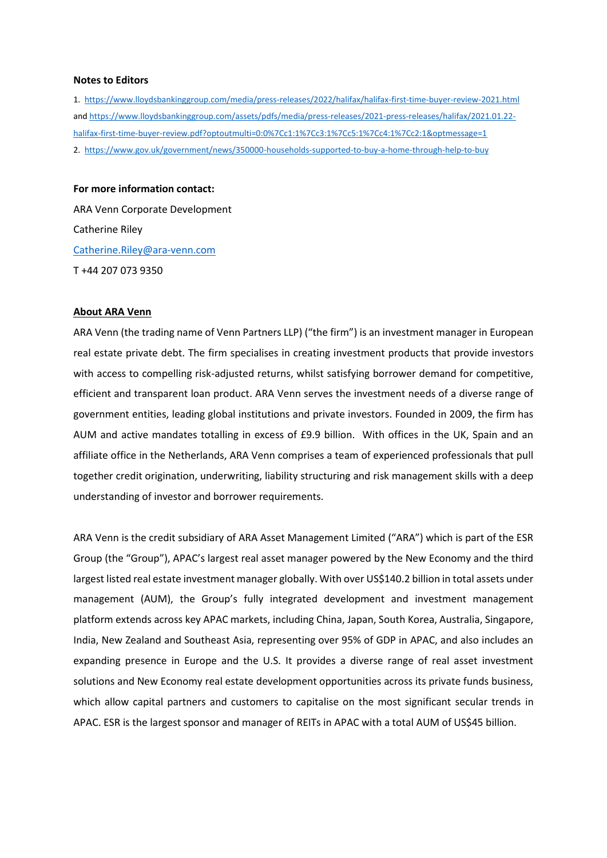#### **Notes to Editors**

1. <https://www.lloydsbankinggroup.com/media/press-releases/2022/halifax/halifax-first-time-buyer-review-2021.html> and [https://www.lloydsbankinggroup.com/assets/pdfs/media/press-releases/2021-press-releases/halifax/2021.01.22](https://www.lloydsbankinggroup.com/assets/pdfs/media/press-releases/2021-press-releases/halifax/2021.01.22-halifax-first-time-buyer-review.pdf?optoutmulti=0:0%7Cc1:1%7Cc3:1%7Cc5:1%7Cc4:1%7Cc2:1&optmessage=1) [halifax-first-time-buyer-review.pdf?optoutmulti=0:0%7Cc1:1%7Cc3:1%7Cc5:1%7Cc4:1%7Cc2:1&optmessage=1](https://www.lloydsbankinggroup.com/assets/pdfs/media/press-releases/2021-press-releases/halifax/2021.01.22-halifax-first-time-buyer-review.pdf?optoutmulti=0:0%7Cc1:1%7Cc3:1%7Cc5:1%7Cc4:1%7Cc2:1&optmessage=1) 2. <https://www.gov.uk/government/news/350000-households-supported-to-buy-a-home-through-help-to-buy>

#### **For more information contact:**

ARA Venn Corporate Development Catherine Riley [Catherine.Riley@ara-venn.com](mailto:Catherine.Riley@ara-venn.com) T +44 207 073 9350

#### **About ARA Venn**

ARA Venn (the trading name of Venn Partners LLP) ("the firm") is an investment manager in European real estate private debt. The firm specialises in creating investment products that provide investors with access to compelling risk-adjusted returns, whilst satisfying borrower demand for competitive, efficient and transparent loan product. ARA Venn serves the investment needs of a diverse range of government entities, leading global institutions and private investors. Founded in 2009, the firm has AUM and active mandates totalling in excess of £9.9 billion. With offices in the UK, Spain and an affiliate office in the Netherlands, ARA Venn comprises a team of experienced professionals that pull together credit origination, underwriting, liability structuring and risk management skills with a deep understanding of investor and borrower requirements.

ARA Venn is the credit subsidiary of ARA Asset Management Limited ("ARA") which is part of the ESR Group (the "Group"), APAC's largest real asset manager powered by the New Economy and the third largest listed real estate investment manager globally. With over US\$140.2 billion in total assets under management (AUM), the Group's fully integrated development and investment management platform extends across key APAC markets, including China, Japan, South Korea, Australia, Singapore, India, New Zealand and Southeast Asia, representing over 95% of GDP in APAC, and also includes an expanding presence in Europe and the U.S. It provides a diverse range of real asset investment solutions and New Economy real estate development opportunities across its private funds business, which allow capital partners and customers to capitalise on the most significant secular trends in APAC. ESR is the largest sponsor and manager of REITs in APAC with a total AUM of US\$45 billion.